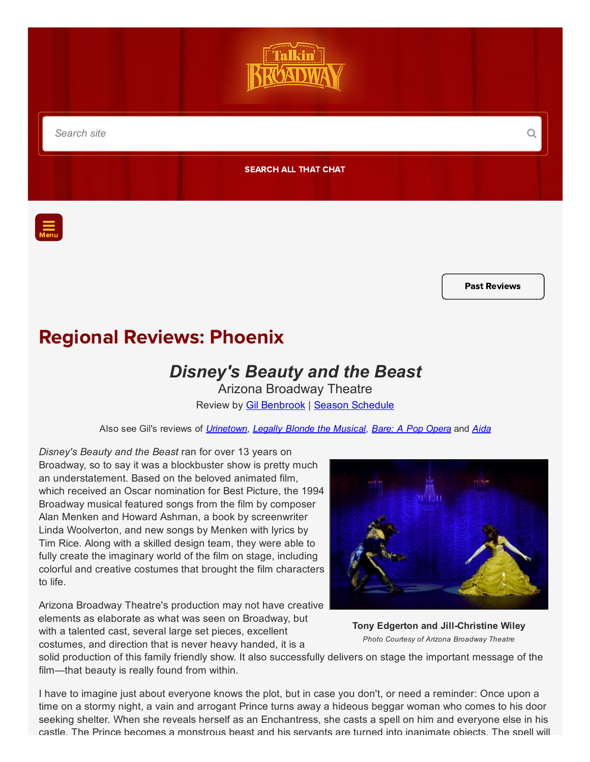

Search site and the search site and the search site and the search site and the search site and  $Q$ 

 $\equiv$ Menu

[SEARCH](http://www.talkinbroadway.com/allthatchat_new/search.php) ALL THAT CHAT

Past [Reviews](http://www.talkinbroadway.com/page/regional/past.html#phoenix)

## Regional Reviews: Phoenix

## Disney's Beauty and the Beast

Arizona Broadway Theatre Review by **Gil [Benbrook](mailto:gbenbrook@talkinbroadway.com) | Season [Schedule](http://www.talkinbroadway.com/page/regional/phoenix/sched.html)** 

Also see Gil's reviews of *[Urinetown](http://www.talkinbroadway.com/page/regional/phoenix/phnx510.html)*, *Legally Blonde the [Musical](http://www.talkinbroadway.com/page/regional/phoenix/phnx509.html), Bare: A Pop [Opera](http://www.talkinbroadway.com/page/regional/phoenix/phnx508.html)* and *[Aida](http://www.talkinbroadway.com/page/regional/phoenix/phnx507.html)* 

Disney's Beauty and the Beast ran for over 13 years on Broadway, so to say it was a blockbuster show is pretty much an understatement. Based on the beloved animated film, which received an Oscar nomination for Best Picture, the 1994 Broadway musical featured songs from the film by composer Alan Menken and Howard Ashman, a book by screenwriter Linda Woolverton, and new songs by Menken with lyrics by Tim Rice. Along with a skilled design team, they were able to fully create the imaginary world of the film on stage, including colorful and creative costumes that brought the film characters to life.

Arizona Broadway Theatre's production may not have creative elements as elaborate as what was seen on Broadway, but with a talented cast, several large set pieces, excellent costumes, and direction that is never heavy handed, it is a



Tony Edgerton and Jill-Christine Wiley Photo Courtesy of Arizona Broadway Theatre

solid production of this family friendly show. It also successfully delivers on stage the important message of the film—that beauty is really found from within.

I have to imagine just about everyone knows the plot, but in case you don't, or need a reminder: Once upon a time on a stormy night, a vain and arrogant Prince turns away a hideous beggar woman who comes to his door seeking shelter. When she reveals herself as an Enchantress, she casts a spell on him and everyone else in his castle. The Prince becomes a monstrous beast and his servants are turned into inanimate objects. The spell will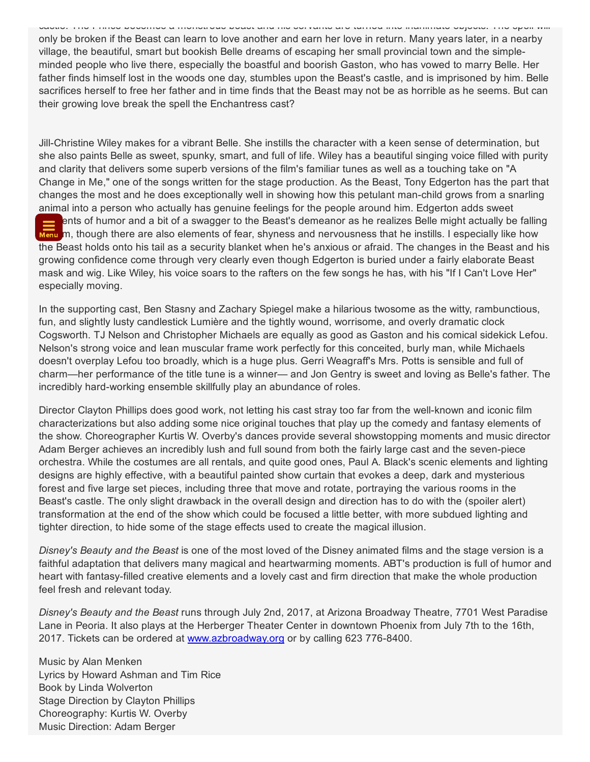castle. The Prince becomes a monstrous beast and his servants are turned into inanimate objects. The spell will only be broken if the Beast can learn to love another and earn her love in return. Many years later, in a nearby village, the beautiful, smart but bookish Belle dreams of escaping her small provincial town and the simpleminded people who live there, especially the boastful and boorish Gaston, who has vowed to marry Belle. Her father finds himself lost in the woods one day, stumbles upon the Beast's castle, and is imprisoned by him. Belle sacrifices herself to free her father and in time finds that the Beast may not be as horrible as he seems. But can their growing love break the spell the Enchantress cast?

JillChristine Wiley makes for a vibrant Belle. She instills the character with a keen sense of determination, but she also paints Belle as sweet, spunky, smart, and full of life. Wiley has a beautiful singing voice filled with purity and clarity that delivers some superb versions of the film's familiar tunes as well as a touching take on "A Change in Me," one of the songs written for the stage production. As the Beast, Tony Edgerton has the part that changes the most and he does exceptionally well in showing how this petulant manchild grows from a snarling animal into a person who actually has genuine feelings for the people around him. Edgerton adds sweet ents of humor and a bit of a swagger to the Beast's demeanor as he realizes Belle might actually be falling for the mission numor and a bit of a swagger to the Beast's demeanor as he realizes Belle might actually be falling the might actually be falling we also elements of fear, shyness and nervousness that he instills. I especi the Beast holds onto his tail as a security blanket when he's anxious or afraid. The changes in the Beast and his growing confidence come through very clearly even though Edgerton is buried under a fairly elaborate Beast mask and wig. Like Wiley, his voice soars to the rafters on the few songs he has, with his "If I Can't Love Her" especially moving.

In the supporting cast, Ben Stasny and Zachary Spiegel make a hilarious twosome as the witty, rambunctious, fun, and slightly lusty candlestick Lumière and the tightly wound, worrisome, and overly dramatic clock Cogsworth. TJ Nelson and Christopher Michaels are equally as good as Gaston and his comical sidekick Lefou. Nelson's strong voice and lean muscular frame work perfectly for this conceited, burly man, while Michaels doesn't overplay Lefou too broadly, which is a huge plus. Gerri Weagraff's Mrs. Potts is sensible and full of charm—her performance of the title tune is a winner— and Jon Gentry is sweet and loving as Belle's father. The incredibly hard-working ensemble skillfully play an abundance of roles.

Director Clayton Phillips does good work, not letting his cast stray too far from the well-known and iconic film characterizations but also adding some nice original touches that play up the comedy and fantasy elements of the show. Choreographer Kurtis W. Overby's dances provide several showstopping moments and music director Adam Berger achieves an incredibly lush and full sound from both the fairly large cast and the seven-piece orchestra. While the costumes are all rentals, and quite good ones, Paul A. Black's scenic elements and lighting designs are highly effective, with a beautiful painted show curtain that evokes a deep, dark and mysterious forest and five large set pieces, including three that move and rotate, portraying the various rooms in the Beast's castle. The only slight drawback in the overall design and direction has to do with the (spoiler alert) transformation at the end of the show which could be focused a little better, with more subdued lighting and tighter direction, to hide some of the stage effects used to create the magical illusion.

Disney's Beauty and the Beast is one of the most loved of the Disney animated films and the stage version is a faithful adaptation that delivers many magical and heartwarming moments. ABT's production is full of humor and heart with fantasy-filled creative elements and a lovely cast and firm direction that make the whole production feel fresh and relevant today.

Disney's Beauty and the Beast runs through July 2nd, 2017, at Arizona Broadway Theatre, 7701 West Paradise Lane in Peoria. It also plays at the Herberger Theater Center in downtown Phoenix from July 7th to the 16th, 2017. Tickets can be ordered at [www.azbroadway.org](http://www.azbroadway.org/) or by calling 623 776-8400.

Music by Alan Menken Lyrics by Howard Ashman and Tim Rice Book by Linda Wolverton Stage Direction by Clayton Phillips Choreography: Kurtis W. Overby Music Direction: Adam Berger